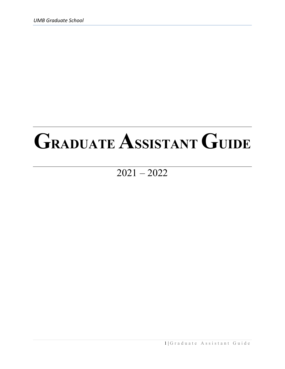# **GRADUATE ASSISTANT GUIDE**

# $\overline{2021 - 2022}$

1 | Graduate Assistant Guide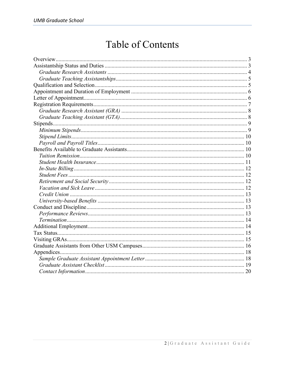# **Table of Contents**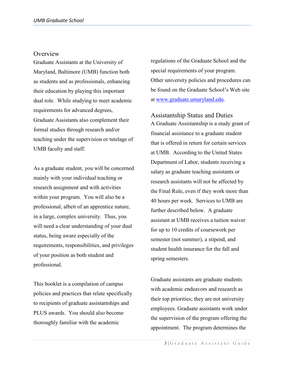#### <span id="page-2-0"></span>**Overview**

Graduate Assistants at the University of Maryland, Baltimore (UMB) function both as students and as professionals, enhancing their education by playing this important dual role. While studying to meet academic requirements for advanced degrees, Graduate Assistants also complement their formal studies through research and/or teaching under the supervision or tutelage of UMB faculty and staff.

As a graduate student, you will be concerned mainly with your individual teaching or research assignment and with activities within your program. You will also be a professional, albeit of an apprentice nature, in a large, complex university. Thus, you will need a clear understanding of your dual status, being aware especially of the requirements, responsibilities, and privileges of your position as both student and professional.

This booklet is a compilation of campus policies and practices that relate specifically to recipients of graduate assistantships and PLUS awards. You should also become thoroughly familiar with the academic

regulations of the Graduate School and the special requirements of your program. Other university policies and procedures can be found on the Graduate School's Web site at [www.graduate.umaryland.edu.](http://www.graduate.umaryland.edu/)

<span id="page-2-1"></span>Assistantship Status and Duties A Graduate Assistantship is a study grant of financial assistance to a graduate student that is offered in return for certain services at UMB. According to the United States Department of Labor, students receiving a salary as graduate teaching assistants or research assistants will not be affected by the Final Rule, even if they work more than 40 hours per week. Services to UMB are further described below. A graduate assistant at UMB receives a tuition waiver for up to 10 credits of coursework per semester (not summer), a stipend, and student health insurance for the fall and spring semesters.

Graduate assistants are graduate students with academic endeavors and research as their top priorities; they are not university employees. Graduate assistants work under the supervision of the program offering the appointment. The program determines the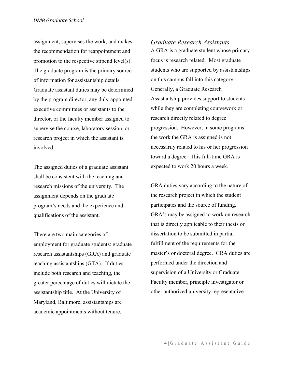assignment, supervises the work, and makes the recommendation for reappointment and promotion to the respective stipend level(s). The graduate program is the primary source of information for assistantship details. Graduate assistant duties may be determined by the program director, any duly-appointed executive committees or assistants to the director, or the faculty member assigned to supervise the course, laboratory session, or research project in which the assistant is involved.

The assigned duties of a graduate assistant shall be consistent with the teaching and research missions of the university. The assignment depends on the graduate program's needs and the experience and qualifications of the assistant.

There are two main categories of employment for graduate students: graduate research assistantships (GRA) and graduate teaching assistantships (GTA). If duties include both research and teaching, the greater percentage of duties will dictate the assistantship title. At the University of Maryland, Baltimore, assistantships are academic appointments without tenure.

A GRA is a graduate student whose primary focus is research related. Most graduate students who are supported by assistantships on this campus fall into this category. Generally, a Graduate Research Assistantship provides support to students while they are completing coursework or research directly related to degree progression. However, in some programs the work the GRA is assigned is not necessarily related to his or her progression toward a degree. This full-time GRA is expected to work 20 hours a week.

<span id="page-3-0"></span>*Graduate Research Assistants*

GRA duties vary according to the nature of the research project in which the student participates and the source of funding. GRA's may be assigned to work on research that is directly applicable to their thesis or dissertation to be submitted in partial fulfillment of the requirements for the master's or doctoral degree. GRA duties are performed under the direction and supervision of a University or Graduate Faculty member, principle investigator or other authorized university representative.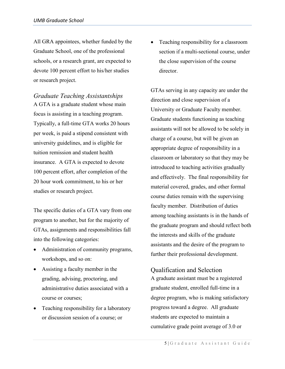All GRA appointees, whether funded by the Graduate School, one of the professional schools, or a research grant, are expected to devote 100 percent effort to his/her studies or research project.

<span id="page-4-0"></span>*Graduate Teaching Assistantships* A GTA is a graduate student whose main focus is assisting in a teaching program. Typically, a full-time GTA works 20 hours per week, is paid a stipend consistent with university guidelines, and is eligible for tuition remission and student health insurance. A GTA is expected to devote 100 percent effort, after completion of the 20 hour work commitment, to his or her studies or research project.

The specific duties of a GTA vary from one program to another, but for the majority of GTAs, assignments and responsibilities fall into the following categories:

- Administration of community programs, workshops, and so on:
- Assisting a faculty member in the grading, advising, proctoring, and administrative duties associated with a course or courses;
- Teaching responsibility for a laboratory or discussion session of a course; or

• Teaching responsibility for a classroom section if a multi-sectional course, under the close supervision of the course director.

GTAs serving in any capacity are under the direction and close supervision of a University or Graduate Faculty member. Graduate students functioning as teaching assistants will not be allowed to be solely in charge of a course, but will be given an appropriate degree of responsibility in a classroom or laboratory so that they may be introduced to teaching activities gradually and effectively. The final responsibility for material covered, grades, and other formal course duties remain with the supervising faculty member. Distribution of duties among teaching assistants is in the hands of the graduate program and should reflect both the interests and skills of the graduate assistants and the desire of the program to further their professional development.

<span id="page-4-1"></span>Qualification and Selection A graduate assistant must be a registered graduate student, enrolled full-time in a degree program, who is making satisfactory progress toward a degree. All graduate students are expected to maintain a cumulative grade point average of 3.0 or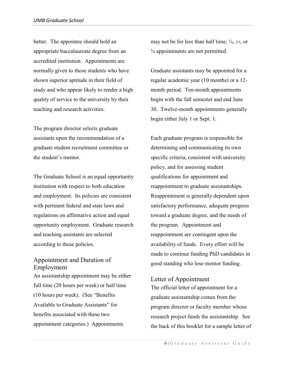better. The appointee should hold an appropriate baccalaureate degree from an accredited institution. Appointments are normally given to those students who have shown superior aptitude in their field of study and who appear likely to render a high quality of service to the university by their teaching and research activities.

The program director selects graduate assistants upon the recommendation of a graduate student recruitment committee or the student's mentor.

The Graduate School is an equal opportunity institution with respect to both education and employment. Its policies are consistent with pertinent federal and state laws and regulations on affirmative action and equal opportunity employment. Graduate research and teaching assistants are selected according to these policies.

# <span id="page-5-0"></span>Appointment and Duration of Employment

An assistantship appointment may be either full time (20 hours per week) or half time (10 hours per week). (See "Benefits Available to Graduate Assistants" for benefits associated with these two appointment categories.) Appointments

may not be for less than half time;  $\frac{1}{4}$ ,  $\frac{2}{3}$ , or ¾ appointments are not permitted.

Graduate assistants may be appointed for a regular academic year (10 months) or a 12 month period. Ten-month appointments begin with the fall semester and end June 30. Twelve-month appointments generally begin either July 1 or Sept. 1.

Each graduate program is responsible for determining and communicating its own specific criteria, consistent with university policy, and for assessing student qualifications for appointment and reappointment to graduate assistantships. Reappointment is generally dependent upon satisfactory performance, adequate progress toward a graduate degree, and the needs of the program. Appointment and reappointment are contingent upon the availability of funds. Every effort will be made to continue funding PhD candidates in good standing who lose mentor funding.

#### <span id="page-5-1"></span>Letter of Appointment

The official letter of appointment for a graduate assistantship comes from the program director or faculty member whose research project funds the assistantship. See the back of this booklet for a sample letter of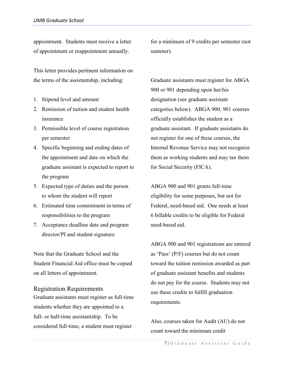appointment. Students must receive a letter of appointment or reappointment annually.

This letter provides pertinent information on the terms of the assistantship, including:

- 1. Stipend level and amount
- 2. Remission of tuition and student health insurance
- 3. Permissible level of course registration per semester
- 4. Specific beginning and ending dates of the appointment and date on which the graduate assistant is expected to report to the program
- 5. Expected type of duties and the person to whom the student will report
- 6. Estimated time commitment in terms of responsibilities to the program
- 7. Acceptance deadline date and program director/PI and student signature

Note that the Graduate School and the Student Financial Aid office must be copied on all letters of appointment.

<span id="page-6-0"></span>Registration Requirements Graduate assistants must register as full-time students whether they are appointed to a full- or half-time assistantship. To be considered full-time, a student must register

for a minimum of 9 credits per semester (not summer).

Graduate assistants must register for ABGA 900 or 901 depending upon her/his designation (see graduate assistant categories below). ABGA 900, 901 courses officially establishes the student as a graduate assistant. If graduate assistants do not register for one of these courses, the Internal Revenue Service may not recognize them as working students and may tax them for Social Security (FICA).

ABGA 900 and 901 grants full-time eligibility for some purposes, but not for Federal, need-based aid. One needs at least 6 billable credits to be eligible for Federal need-based aid.

ABGA 900 and 901 registrations are entered as 'Pass' (P/F) courses but do not count toward the tuition remission awarded as part of graduate assistant benefits and students do not pay for the course. Students may not use these credits to fulfill graduation requirements.

Also, courses taken for Audit (AU) do not count toward the minimum credit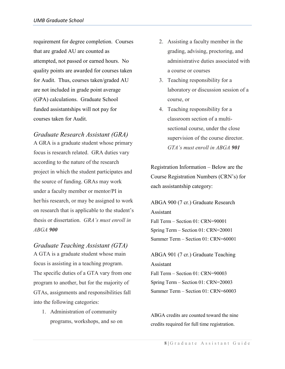requirement for degree completion. Courses that are graded AU are counted as attempted, not passed or earned hours. No quality points are awarded for courses taken for Audit. Thus, courses taken/graded AU are not included in grade point average (GPA) calculations. Graduate School funded assistantships will not pay for courses taken for Audit.

<span id="page-7-0"></span>*Graduate Research Assistant (GRA)* 

A GRA is a graduate student whose primary focus is research related. GRA duties vary according to the nature of the research project in which the student participates and the source of funding. GRAs may work under a faculty member or mentor/PI in her/his research, or may be assigned to work on research that is applicable to the student's thesis or dissertation. *GRA's must enroll in ABGA 900*

<span id="page-7-1"></span>*Graduate Teaching Assistant (GTA)*  A GTA is a graduate student whose main focus is assisting in a teaching program. The specific duties of a GTA vary from one program to another, but for the majority of GTAs, assignments and responsibilities fall into the following categories:

1. Administration of community programs, workshops, and so on

- 2. Assisting a faculty member in the grading, advising, proctoring, and administrative duties associated with a course or courses
- 3. Teaching responsibility for a laboratory or discussion session of a course, or
- 4. Teaching responsibility for a classroom section of a multisectional course, under the close supervision of the course director. *GTA's must enroll in ABGA 901*

Registration Information – Below are the Course Registration Numbers (CRN's) for each assistantship category:

ABGA 900 (7 cr.) Graduate Research Assistant Fall Term – Section 01: CRN=90001 Spring Term – Section 01: CRN=20001 Summer Term – Section 01: CRN=60001

ABGA 901 (7 cr.) Graduate Teaching Assistant

Fall Term – Section 01: CRN=90003 Spring Term – Section 01: CRN=20003 Summer Term – Section 01: CRN=60003

ABGA credits are counted toward the nine credits required for full time registration.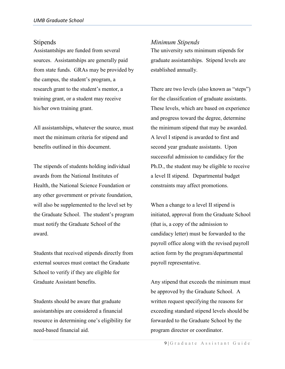#### <span id="page-8-0"></span>Stipends

Assistantships are funded from several sources. Assistantships are generally paid from state funds. GRAs may be provided by the campus, the student's program, a research grant to the student's mentor, a training grant, or a student may receive his/her own training grant.

All assistantships, whatever the source, must meet the minimum criteria for stipend and benefits outlined in this document.

The stipends of students holding individual awards from the National Institutes of Health, the National Science Foundation or any other government or private foundation, will also be supplemented to the level set by the Graduate School. The student's program must notify the Graduate School of the award.

Students that received stipends directly from external sources must contact the Graduate School to verify if they are eligible for Graduate Assistant benefits.

Students should be aware that graduate assistantships are considered a financial resource in determining one's eligibility for need-based financial aid.

#### <span id="page-8-1"></span>*Minimum Stipends*

The university sets minimum stipends for graduate assistantships. Stipend levels are established annually.

There are two levels (also known as "steps") for the classification of graduate assistants. These levels, which are based on experience and progress toward the degree, determine the minimum stipend that may be awarded. A level I stipend is awarded to first and second year graduate assistants. Upon successful admission to candidacy for the Ph.D., the student may be eligible to receive a level II stipend. Departmental budget constraints may affect promotions.

When a change to a level II stipend is initiated, approval from the Graduate School (that is, a copy of the admission to candidacy letter) must be forwarded to the payroll office along with the revised payroll action form by the program/departmental payroll representative.

Any stipend that exceeds the minimum must be approved by the Graduate School. A written request specifying the reasons for exceeding standard stipend levels should be forwarded to the Graduate School by the program director or coordinator.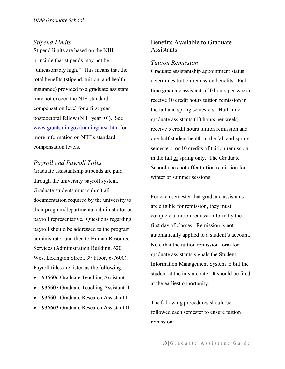## <span id="page-9-0"></span>*Stipend Limits*

Stipend limits are based on the NIH principle that stipends may not be "unreasonably high." This means that the total benefits (stipend, tuition, and health insurance) provided to a graduate assistant may not exceed the NIH standard compensation level for a first year postdoctoral fellow (NIH year '0'). See [www.grants.nih.gov/training/nrsa.htm](http://www.grants.nih.gov/training/nrsa.htm) for more information on NIH's standard compensation levels.

# <span id="page-9-1"></span>*Payroll and Payroll Titles*

Graduate assistantship stipends are paid through the university payroll system. Graduate students must submit all documentation required by the university to their program/departmental administrator or payroll representative. Questions regarding payroll should be addressed to the program administrator and then to Human Resource Services (Administration Building, 620 West Lexington Street, 3<sup>rd</sup> Floor, 6-7600). Payroll titles are listed as the following:

- 936606 Graduate Teaching Assistant I
- 936607 Graduate Teaching Assistant II
- 936601 Graduate Research Assistant I
- 936603 Graduate Research Assistant II

# <span id="page-9-2"></span>Benefits Available to Graduate **Assistants**

#### <span id="page-9-3"></span>*Tuition Remission*

Graduate assistantship appointment status determines tuition remission benefits. Fulltime graduate assistants (20 hours per week) receive 10 credit hours tuition remission in the fall and spring semesters. Half-time graduate assistants (10 hours per week) receive 5 credit hours tuition remission and one-half student health in the fall and spring semesters, or 10 credits of tuition remission in the fall or spring only. The Graduate School does not offer tuition remission for winter or summer sessions.

For each semester that graduate assistants are eligible for remission, they must complete a tuition remission form by the first day of classes. Remission is not automatically applied to a student's account. Note that the tuition remission form for graduate assistants signals the Student Information Management System to bill the student at the in-state rate. It should be filed at the earliest opportunity.

The following procedures should be followed each semester to ensure tuition remission: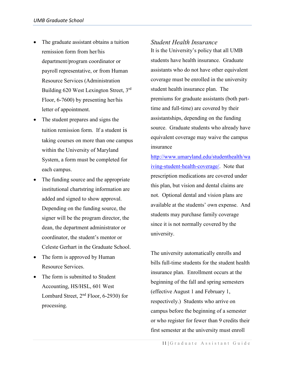- The graduate assistant obtains a tuition remission form from her/his department/program coordinator or payroll representative, or from Human Resource Services (Administration Building 620 West Lexington Street, 3rd Floor, 6-7600) by presenting her/his letter of appointment.
- The student prepares and signs the tuition remission form. If a student is taking courses on more than one campus within the University of Maryland System, a form must be completed for each campus.
- The funding source and the appropriate institutional chartstring information are added and signed to show approval. Depending on the funding source, the signer will be the program director, the dean, the department administrator or coordinator, the student's mentor or Celeste Gerhart in the Graduate School.
- The form is approved by Human Resource Services.
- The form is submitted to Student Accounting, HS/HSL, 601 West Lombard Street,  $2<sup>nd</sup>$  Floor, 6-2930) for processing.

It is the University's policy that all UMB students have health insurance. Graduate assistants who do not have other equivalent coverage must be enrolled in the university student health insurance plan. The premiums for graduate assistants (both parttime and full-time) are covered by their assistantships, depending on the funding source. Graduate students who already have equivalent coverage may waive the campus insurance

<span id="page-10-0"></span>*Student Health Insurance*

[http://www.umaryland.edu/studenthealth/wa](http://www.umaryland.edu/studenthealth/waiving-student-health-coverage/) [iving-student-health-coverage/.](http://www.umaryland.edu/studenthealth/waiving-student-health-coverage/) Note that prescription medications are covered under this plan, but vision and dental claims are not. Optional dental and vision plans are available at the students' own expense. And students may purchase family coverage since it is not normally covered by the university.

The university automatically enrolls and bills full-time students for the student health insurance plan. Enrollment occurs at the beginning of the fall and spring semesters (effective August 1 and February 1, respectively.) Students who arrive on campus before the beginning of a semester or who register for fewer than 9 credits their first semester at the university must enroll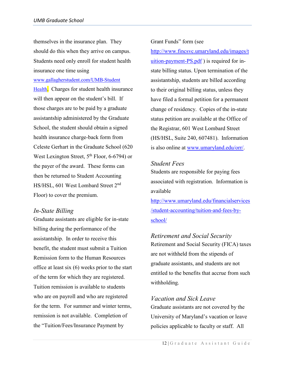themselves in the insurance plan. They should do this when they arrive on campus. Students need only enroll for student health insurance one time using

[www.gallagherstudent.com/UMB-Student](http://www.gallagherstudent.com/UMB-Student)

Health. Charges for student health insurance will then appear on the student's bill. If those charges are to be paid by a graduate assistantship administered by the Graduate School, the student should obtain a signed health insurance charge-back form from Celeste Gerhart in the Graduate School (620 West Lexington Street,  $5<sup>th</sup>$  Floor, 6-6794) or the payer of the award. These forms can then be returned to Student Accounting HS/HSL, 601 West Lombard Street 2nd Floor) to cover the premium.

# <span id="page-11-0"></span>*In-State Billing*

Graduate assistants are eligible for in-state billing during the performance of the assistantship. In order to receive this benefit, the student must submit a Tuition Remission form to the Human Resources office at least six (6) weeks prior to the start of the term for which they are registered. Tuition remission is available to students who are on payroll and who are registered for the term. For summer and winter terms, remission is not available. Completion of the "Tuition/Fees/Insurance Payment by

Grant Funds" form (see

[http://www.fincsvc.umaryland.edu/images/t](http://www.fincsvc.umaryland.edu/images/tuition-payment-PS.pdf)  $uition$ -payment-PS.pdf) is required for instate billing status. Upon termination of the assistantship, students are billed according to their original billing status, unless they have filed a formal petition for a permanent change of residency. Copies of the in-state status petition are available at the Office of the Registrar, 601 West Lombard Street (HS/HSL, Suite 240, 607481). Information is also online at [www.umaryland.edu/orr/.](http://www.umaryland.edu/orr/)

# <span id="page-11-1"></span>*Student Fees*

Students are responsible for paying fees associated with registration. Information is available

[http://www.umaryland.edu/financialservices](http://www.umaryland.edu/financialservices/student-accounting/tuition-and-fees-by-school/) [/student-accounting/tuition-and-fees-by](http://www.umaryland.edu/financialservices/student-accounting/tuition-and-fees-by-school/)[school/](http://www.umaryland.edu/financialservices/student-accounting/tuition-and-fees-by-school/)

# <span id="page-11-2"></span>*Retirement and Social Security*

Retirement and Social Security (FICA) taxes are not withheld from the stipends of graduate assistants, and students are not entitled to the benefits that accrue from such withholding.

# <span id="page-11-3"></span>*Vacation and Sick Leave*

Graduate assistants are not covered by the University of Maryland's vacation or leave policies applicable to faculty or staff. All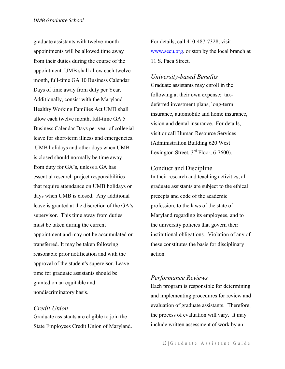graduate assistants with twelve-month appointments will be allowed time away from their duties during the course of the appointment. UMB shall allow each twelve month, full-time GA 10 Business Calendar Days of time away from duty per Year. Additionally, consist with the Maryland Healthy Working Families Act UMB shall allow each twelve month, full-time GA 5 Business Calendar Days per year of collegial leave for short-term illness and emergencies. UMB holidays and other days when UMB is closed should normally be time away from duty for GA's, unless a GA has essential research project responsibilities that require attendance on UMB holidays or days when UMB is closed. Any additional leave is granted at the discretion of the GA's supervisor. This time away from duties must be taken during the current appointment and may not be accumulated or transferred. It may be taken following reasonable prior notification and with the approval of the student's supervisor. Leave time for graduate assistants should be granted on an equitable and nondiscriminatory basis.

# <span id="page-12-0"></span>*Credit Union*

Graduate assistants are eligible to join the State Employees Credit Union of Maryland. For details, call 410-487-7328, visit [www.secu.org.](http://www.secu.org/) or stop by the local branch at 11 S. Paca Street.

<span id="page-12-1"></span>*University-based Benefits* Graduate assistants may enroll in the following at their own expense: taxdeferred investment plans, long-term insurance, automobile and home insurance, vision and dental insurance. For details, visit or call Human Resource Services (Administration Building 620 West Lexington Street,  $3<sup>rd</sup>$  Floor, 6-7600).

#### <span id="page-12-2"></span>Conduct and Discipline

In their research and teaching activities, all graduate assistants are subject to the ethical precepts and code of the academic profession, to the laws of the state of Maryland regarding its employees, and to the university policies that govern their institutional obligations. Violation of any of these constitutes the basis for disciplinary action.

# <span id="page-12-3"></span>*Performance Reviews*

Each program is responsible for determining and implementing procedures for review and evaluation of graduate assistants. Therefore, the process of evaluation will vary. It may include written assessment of work by an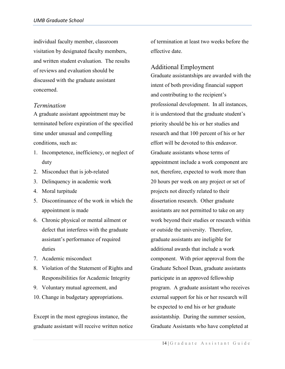individual faculty member, classroom visitation by designated faculty members, and written student evaluation. The results of reviews and evaluation should be discussed with the graduate assistant concerned.

## <span id="page-13-0"></span>*Termination*

A graduate assistant appointment may be terminated before expiration of the specified time under unusual and compelling conditions, such as:

- 1. Incompetence, inefficiency, or neglect of duty
- 2. Misconduct that is job-related
- 3. Delinquency in academic work
- 4. Moral turpitude
- 5. Discontinuance of the work in which the appointment is made
- 6. Chronic physical or mental ailment or defect that interferes with the graduate assistant's performance of required duties
- 7. Academic misconduct
- 8. Violation of the Statement of Rights and Responsibilities for Academic Integrity
- 9. Voluntary mutual agreement, and
- 10. Change in budgetary appropriations.

Except in the most egregious instance, the graduate assistant will receive written notice of termination at least two weeks before the effective date.

#### <span id="page-13-1"></span>Additional Employment

Graduate assistantships are awarded with the intent of both providing financial support and contributing to the recipient's professional development. In all instances, it is understood that the graduate student's priority should be his or her studies and research and that 100 percent of his or her effort will be devoted to this endeavor. Graduate assistants whose terms of appointment include a work component are not, therefore, expected to work more than 20 hours per week on any project or set of projects not directly related to their dissertation research. Other graduate assistants are not permitted to take on any work beyond their studies or research within or outside the university. Therefore, graduate assistants are ineligible for additional awards that include a work component. With prior approval from the Graduate School Dean, graduate assistants participate in an approved fellowship program. A graduate assistant who receives external support for his or her research will be expected to end his or her graduate assistantship. During the summer session, Graduate Assistants who have completed at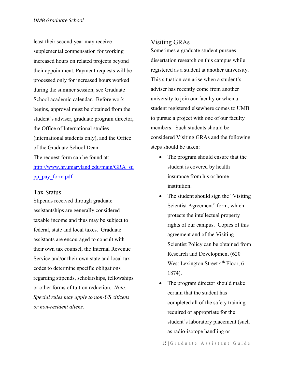least their second year may receive supplemental compensation for working increased hours on related projects beyond their appointment. Payment requests will be processed only for increased hours worked during the summer session; see Graduate School academic calendar. Before work begins, approval must be obtained from the student's adviser, graduate program director, the Office of International studies (international students only), and the Office of the Graduate School Dean. The request form can be found at: [http://www.hr.umaryland.edu/main/GRA\\_su](http://www.hr.umaryland.edu/main/GRA_supp_pay_form.pdf) [pp\\_pay\\_form.pdf](http://www.hr.umaryland.edu/main/GRA_supp_pay_form.pdf)

#### <span id="page-14-0"></span>Tax Status

Stipends received through graduate assistantships are generally considered taxable income and thus may be subject to federal, state and local taxes. Graduate assistants are encouraged to consult with their own tax counsel, the Internal Revenue Service and/or their own state and local tax codes to determine specific obligations regarding stipends, scholarships, fellowships or other forms of tuition reduction. *Note: Special rules may apply to non-US citizens or non-resident aliens.*

# <span id="page-14-1"></span>Visiting GRAs

Sometimes a graduate student pursues dissertation research on this campus while registered as a student at another university. This situation can arise when a student's adviser has recently come from another university to join our faculty or when a student registered elsewhere comes to UMB to pursue a project with one of our faculty members. Such students should be considered Visiting GRAs and the following steps should be taken:

- The program should ensure that the student is covered by health insurance from his or home institution.
- The student should sign the "Visiting" Scientist Agreement" form, which protects the intellectual property rights of our campus. Copies of this agreement and of the Visiting Scientist Policy can be obtained from Research and Development (620 West Lexington Street 4<sup>th</sup> Floor, 6-1874).
- The program director should make certain that the student has completed all of the safety training required or appropriate for the student's laboratory placement (such as radio-isotope handling or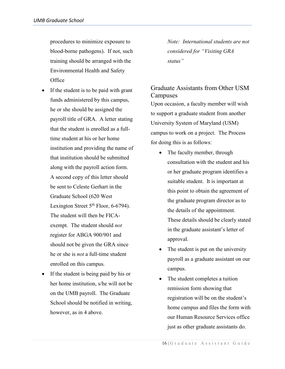procedures to minimize exposure to blood-borne pathogens). If not, such training should be arranged with the Environmental Health and Safety **Office** 

- If the student is to be paid with grant funds administered by this campus, he or she should be assigned the payroll title of GRA. A letter stating that the student is enrolled as a fulltime student at his or her home institution and providing the name of that institution should be submitted along with the payroll action form. A second copy of this letter should be sent to Celeste Gerhart in the Graduate School (620 West Lexington Street  $5<sup>th</sup>$  Floor, 6-6794). The student will then be FICAexempt. The student should *not*  register for ABGA 900/901 and should not be given the GRA since he or she is *not* a full-time student enrolled on this campus.
- If the student is being paid by his or her home institution, s/he will not be on the UMB payroll. The Graduate School should be notified in writing, however, as in 4 above.

*Note: International students are not considered for "Visiting GRA status"*

# <span id="page-15-0"></span>Graduate Assistants from Other USM Campuses

Upon occasion, a faculty member will wish to support a graduate student from another University System of Maryland (USM) campus to work on a project. The Process for doing this is as follows:

- The faculty member, through consultation with the student and his or her graduate program identifies a suitable student. It is important at this point to obtain the agreement of the graduate program director as to the details of the appointment. These details should be clearly stated in the graduate assistant's letter of approval.
- The student is put on the university payroll as a graduate assistant on our campus.
- The student completes a tuition remission form showing that registration will be on the student's home campus and files the form with our Human Resource Services office just as other graduate assistants do.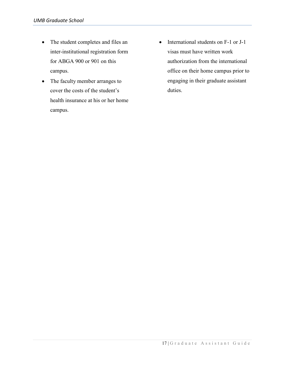- The student completes and files an inter-institutional registration form for ABGA 900 or 901 on this campus.
- The faculty member arranges to cover the costs of the student's health insurance at his or her home campus.
- International students on F-1 or J-1 visas must have written work authorization from the international office on their home campus prior to engaging in their graduate assistant duties.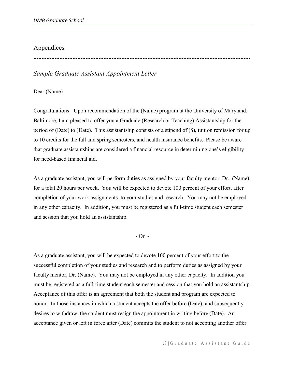# <span id="page-17-0"></span>Appendices

**.....................................................................................................................................**

# <span id="page-17-1"></span>*Sample Graduate Assistant Appointment Letter*

Dear (Name)

Congratulations! Upon recommendation of the (Name) program at the University of Maryland, Baltimore, I am pleased to offer you a Graduate (Research or Teaching) Assistantship for the period of (Date) to (Date). This assistantship consists of a stipend of  $(\$\)$ , tuition remission for up to 10 credits for the fall and spring semesters, and health insurance benefits. Please be aware that graduate assistantships are considered a financial resource in determining one's eligibility for need-based financial aid.

As a graduate assistant, you will perform duties as assigned by your faculty mentor, Dr. (Name), for a total 20 hours per week. You will be expected to devote 100 percent of your effort, after completion of your work assignments, to your studies and research. You may not be employed in any other capacity. In addition, you must be registered as a full-time student each semester and session that you hold an assistantship.

 $-$  Or  $-$ 

As a graduate assistant, you will be expected to devote 100 percent of your effort to the successful completion of your studies and research and to perform duties as assigned by your faculty mentor, Dr. (Name). You may not be employed in any other capacity. In addition you must be registered as a full-time student each semester and session that you hold an assistantship. Acceptance of this offer is an agreement that both the student and program are expected to honor. In those instances in which a student accepts the offer before (Date), and subsequently desires to withdraw, the student must resign the appointment in writing before (Date). An acceptance given or left in force after (Date) commits the student to not accepting another offer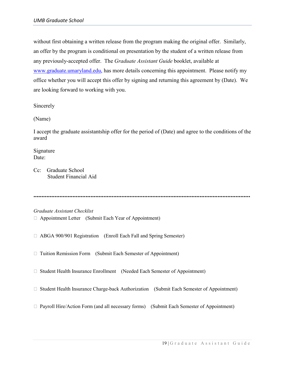without first obtaining a written release from the program making the original offer. Similarly, an offer by the program is conditional on presentation by the student of a written release from any previously-accepted offer. The *Graduate Assistant Guide* booklet, available at [www.graduate.umaryland.edu,](http://www.graduate.umaryland.edu/) has more details concerning this appointment. Please notify my office whether you will accept this offer by signing and returning this agreement by (Date). We are looking forward to working with you.

Sincerely

(Name)

I accept the graduate assistantship offer for the period of (Date) and agree to the conditions of the award

Signature Date:

Cc: Graduate School Student Financial Aid

**.....................................................................................................................................**

<span id="page-18-0"></span>*Graduate Assistant Checklist*

- Appointment Letter (Submit Each Year of Appointment)
- ABGA 900/901 Registration (Enroll Each Fall and Spring Semester)
- □ Tuition Remission Form (Submit Each Semester of Appointment)
- □ Student Health Insurance Enrollment (Needed Each Semester of Appointment)
- $\Box$  Student Health Insurance Charge-back Authorization (Submit Each Semester of Appointment)
- $\Box$  Payroll Hire/Action Form (and all necessary forms) (Submit Each Semester of Appointment)